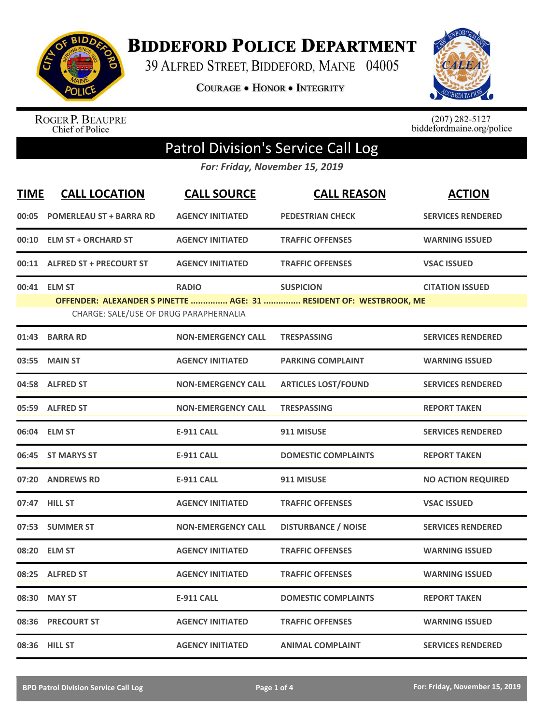

**BIDDEFORD POLICE DEPARTMENT** 

39 ALFRED STREET, BIDDEFORD, MAINE 04005

**COURAGE . HONOR . INTEGRITY** 



ROGER P. BEAUPRE<br>Chief of Police

 $(207)$  282-5127<br>biddefordmaine.org/police

## Patrol Division's Service Call Log

*For: Friday, November 15, 2019*

| <b>TIME</b> | <b>CALL LOCATION</b>                   | <b>CALL SOURCE</b>        | <b>CALL REASON</b>                                                 | <b>ACTION</b>             |
|-------------|----------------------------------------|---------------------------|--------------------------------------------------------------------|---------------------------|
| 00:05       | <b>POMERLEAU ST + BARRA RD</b>         | <b>AGENCY INITIATED</b>   | <b>PEDESTRIAN CHECK</b>                                            | <b>SERVICES RENDERED</b>  |
|             | 00:10 ELM ST + ORCHARD ST              | <b>AGENCY INITIATED</b>   | <b>TRAFFIC OFFENSES</b>                                            | <b>WARNING ISSUED</b>     |
|             | 00:11 ALFRED ST + PRECOURT ST          | <b>AGENCY INITIATED</b>   | <b>TRAFFIC OFFENSES</b>                                            | <b>VSAC ISSUED</b>        |
| 00:41       | <b>ELM ST</b>                          | <b>RADIO</b>              | <b>SUSPICION</b>                                                   | <b>CITATION ISSUED</b>    |
|             | CHARGE: SALE/USE OF DRUG PARAPHERNALIA |                           | OFFENDER: ALEXANDER S PINETTE  AGE: 31  RESIDENT OF: WESTBROOK, ME |                           |
| 01:43       | <b>BARRA RD</b>                        | <b>NON-EMERGENCY CALL</b> | <b>TRESPASSING</b>                                                 | <b>SERVICES RENDERED</b>  |
| 03:55       | <b>MAIN ST</b>                         | <b>AGENCY INITIATED</b>   | <b>PARKING COMPLAINT</b>                                           | <b>WARNING ISSUED</b>     |
|             | 04:58 ALFRED ST                        | <b>NON-EMERGENCY CALL</b> | <b>ARTICLES LOST/FOUND</b>                                         | <b>SERVICES RENDERED</b>  |
|             | 05:59 ALFRED ST                        | <b>NON-EMERGENCY CALL</b> | <b>TRESPASSING</b>                                                 | <b>REPORT TAKEN</b>       |
|             | 06:04 ELM ST                           | <b>E-911 CALL</b>         | 911 MISUSE                                                         | <b>SERVICES RENDERED</b>  |
|             | 06:45 ST MARYS ST                      | <b>E-911 CALL</b>         | <b>DOMESTIC COMPLAINTS</b>                                         | <b>REPORT TAKEN</b>       |
| 07:20       | <b>ANDREWS RD</b>                      | <b>E-911 CALL</b>         | 911 MISUSE                                                         | <b>NO ACTION REQUIRED</b> |
|             | 07:47 HILL ST                          | <b>AGENCY INITIATED</b>   | <b>TRAFFIC OFFENSES</b>                                            | <b>VSAC ISSUED</b>        |
|             | 07:53 SUMMER ST                        | <b>NON-EMERGENCY CALL</b> | <b>DISTURBANCE / NOISE</b>                                         | <b>SERVICES RENDERED</b>  |
| 08:20       | <b>ELM ST</b>                          | <b>AGENCY INITIATED</b>   | <b>TRAFFIC OFFENSES</b>                                            | <b>WARNING ISSUED</b>     |
| 08:25       | <b>ALFRED ST</b>                       | <b>AGENCY INITIATED</b>   | <b>TRAFFIC OFFENSES</b>                                            | <b>WARNING ISSUED</b>     |
| 08:30       | <b>MAY ST</b>                          | <b>E-911 CALL</b>         | <b>DOMESTIC COMPLAINTS</b>                                         | <b>REPORT TAKEN</b>       |
| 08:36       | <b>PRECOURT ST</b>                     | <b>AGENCY INITIATED</b>   | <b>TRAFFIC OFFENSES</b>                                            | <b>WARNING ISSUED</b>     |
|             | 08:36 HILL ST                          | <b>AGENCY INITIATED</b>   | <b>ANIMAL COMPLAINT</b>                                            | <b>SERVICES RENDERED</b>  |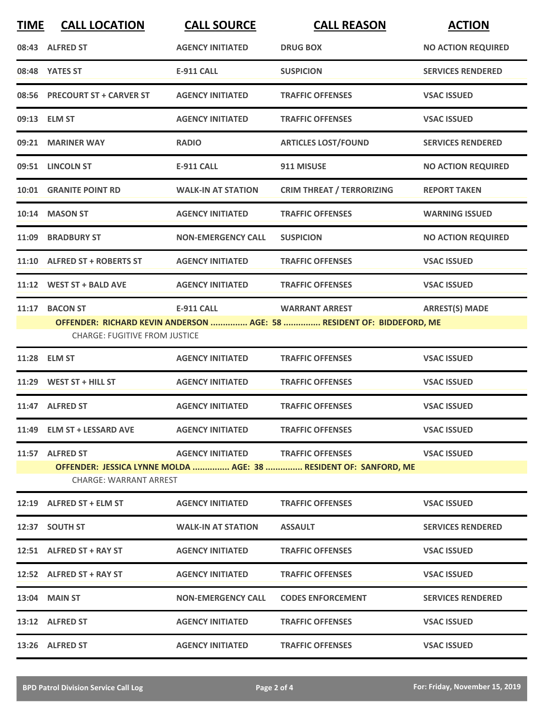| <b>TIME</b> | <b>CALL LOCATION</b>                                                                                                           | <b>CALL SOURCE</b>        | <b>CALL REASON</b>                                                                             | <b>ACTION</b>             |
|-------------|--------------------------------------------------------------------------------------------------------------------------------|---------------------------|------------------------------------------------------------------------------------------------|---------------------------|
|             | 08:43 ALFRED ST                                                                                                                | <b>AGENCY INITIATED</b>   | <b>DRUG BOX</b>                                                                                | <b>NO ACTION REQUIRED</b> |
|             | 08:48 YATES ST                                                                                                                 | <b>E-911 CALL</b>         | <b>SUSPICION</b>                                                                               | <b>SERVICES RENDERED</b>  |
|             | 08:56 PRECOURT ST + CARVER ST                                                                                                  | <b>AGENCY INITIATED</b>   | <b>TRAFFIC OFFENSES</b>                                                                        | <b>VSAC ISSUED</b>        |
|             | 09:13 ELM ST                                                                                                                   | <b>AGENCY INITIATED</b>   | <b>TRAFFIC OFFENSES</b>                                                                        | <b>VSAC ISSUED</b>        |
|             | 09:21 MARINER WAY                                                                                                              | <b>RADIO</b>              | <b>ARTICLES LOST/FOUND</b>                                                                     | <b>SERVICES RENDERED</b>  |
|             | 09:51 LINCOLN ST                                                                                                               | <b>E-911 CALL</b>         | 911 MISUSE                                                                                     | <b>NO ACTION REQUIRED</b> |
|             | 10:01 GRANITE POINT RD                                                                                                         | <b>WALK-IN AT STATION</b> | <b>CRIM THREAT / TERRORIZING</b>                                                               | <b>REPORT TAKEN</b>       |
|             | 10:14 MASON ST                                                                                                                 | <b>AGENCY INITIATED</b>   | <b>TRAFFIC OFFENSES</b>                                                                        | <b>WARNING ISSUED</b>     |
| 11:09       | <b>BRADBURY ST</b>                                                                                                             | <b>NON-EMERGENCY CALL</b> | <b>SUSPICION</b>                                                                               | <b>NO ACTION REQUIRED</b> |
|             | 11:10 ALFRED ST + ROBERTS ST                                                                                                   | <b>AGENCY INITIATED</b>   | <b>TRAFFIC OFFENSES</b>                                                                        | <b>VSAC ISSUED</b>        |
|             | 11:12 WEST ST + BALD AVE                                                                                                       | <b>AGENCY INITIATED</b>   | <b>TRAFFIC OFFENSES</b>                                                                        | <b>VSAC ISSUED</b>        |
| 11:17       | <b>BACON ST</b><br><b>CHARGE: FUGITIVE FROM JUSTICE</b>                                                                        | <b>E-911 CALL</b>         | <b>WARRANT ARREST</b><br>OFFENDER: RICHARD KEVIN ANDERSON  AGE: 58  RESIDENT OF: BIDDEFORD, ME | <b>ARREST(S) MADE</b>     |
| 11:28       | <b>ELM ST</b>                                                                                                                  | <b>AGENCY INITIATED</b>   | <b>TRAFFIC OFFENSES</b>                                                                        | <b>VSAC ISSUED</b>        |
|             | $11:29$ WEST ST + HILL ST                                                                                                      | <b>AGENCY INITIATED</b>   | <b>TRAFFIC OFFENSES</b>                                                                        | <b>VSAC ISSUED</b>        |
|             | 11:47 ALFRED ST                                                                                                                | <b>AGENCY INITIATED</b>   | <b>TRAFFIC OFFENSES</b>                                                                        | <b>VSAC ISSUED</b>        |
|             | 11:49 ELM ST + LESSARD AVE                                                                                                     | <b>AGENCY INITIATED</b>   | <b>TRAFFIC OFFENSES</b>                                                                        | <b>VSAC ISSUED</b>        |
|             | 11:57 ALFRED ST                                 AGENCY INITIATED             TRAFFIC OFFENSES<br><b>CHARGE: WARRANT ARREST</b> |                           | OFFENDER: JESSICA LYNNE MOLDA  AGE: 38  RESIDENT OF: SANFORD, ME                               | <b>VSAC ISSUED</b>        |
|             | 12:19 ALFRED ST + ELM ST AGENCY INITIATED                                                                                      |                           | <b>TRAFFIC OFFENSES</b>                                                                        | <b>VSAC ISSUED</b>        |
|             | 12:37 SOUTH ST                                                                                                                 | <b>WALK-IN AT STATION</b> | <b>ASSAULT</b>                                                                                 | <b>SERVICES RENDERED</b>  |
|             | 12:51 ALFRED ST + RAY ST                                                                                                       | <b>AGENCY INITIATED</b>   | <b>TRAFFIC OFFENSES</b>                                                                        | <b>VSAC ISSUED</b>        |
|             | 12:52 ALFRED ST + RAY ST                                                                                                       | <b>AGENCY INITIATED</b>   | <b>TRAFFIC OFFENSES</b>                                                                        | <b>VSAC ISSUED</b>        |
|             | 13:04 MAIN ST                                                                                                                  | <b>NON-EMERGENCY CALL</b> | <b>CODES ENFORCEMENT</b>                                                                       | <b>SERVICES RENDERED</b>  |
|             | 13:12 ALFRED ST                                                                                                                | <b>AGENCY INITIATED</b>   | <b>TRAFFIC OFFENSES</b>                                                                        | <b>VSAC ISSUED</b>        |
|             | 13:26 ALFRED ST                                                                                                                | <b>AGENCY INITIATED</b>   | <b>TRAFFIC OFFENSES</b>                                                                        | <b>VSAC ISSUED</b>        |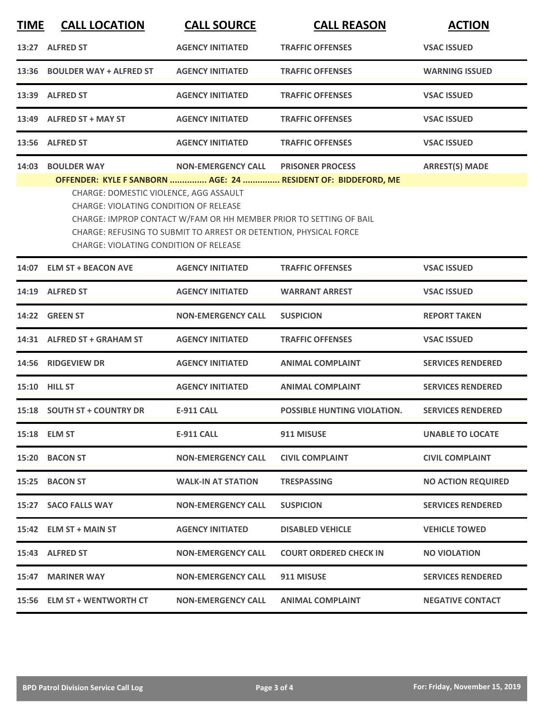| <b>TIME</b> | <b>CALL LOCATION</b>                                                                                                                                                                                                                                                         | <b>CALL SOURCE</b>        | <b>CALL REASON</b>                                                                       | <b>ACTION</b>             |  |
|-------------|------------------------------------------------------------------------------------------------------------------------------------------------------------------------------------------------------------------------------------------------------------------------------|---------------------------|------------------------------------------------------------------------------------------|---------------------------|--|
|             | 13:27 ALFRED ST                                                                                                                                                                                                                                                              | <b>AGENCY INITIATED</b>   | <b>TRAFFIC OFFENSES</b>                                                                  | <b>VSAC ISSUED</b>        |  |
|             | 13:36 BOULDER WAY + ALFRED ST                                                                                                                                                                                                                                                | <b>AGENCY INITIATED</b>   | <b>TRAFFIC OFFENSES</b>                                                                  | <b>WARNING ISSUED</b>     |  |
|             | 13:39 ALFRED ST                                                                                                                                                                                                                                                              | <b>AGENCY INITIATED</b>   | <b>TRAFFIC OFFENSES</b>                                                                  | <b>VSAC ISSUED</b>        |  |
|             | 13:49 ALFRED ST + MAY ST                                                                                                                                                                                                                                                     | <b>AGENCY INITIATED</b>   | <b>TRAFFIC OFFENSES</b>                                                                  | <b>VSAC ISSUED</b>        |  |
|             | 13:56 ALFRED ST                                                                                                                                                                                                                                                              | <b>AGENCY INITIATED</b>   | <b>TRAFFIC OFFENSES</b>                                                                  | <b>VSAC ISSUED</b>        |  |
| 14:03       | <b>BOULDER WAY</b>                                                                                                                                                                                                                                                           | <b>NON-EMERGENCY CALL</b> | <b>PRISONER PROCESS</b><br>OFFENDER: KYLE F SANBORN  AGE: 24  RESIDENT OF: BIDDEFORD, ME | <b>ARREST(S) MADE</b>     |  |
|             | CHARGE: DOMESTIC VIOLENCE, AGG ASSAULT<br>CHARGE: VIOLATING CONDITION OF RELEASE<br>CHARGE: IMPROP CONTACT W/FAM OR HH MEMBER PRIOR TO SETTING OF BAIL<br>CHARGE: REFUSING TO SUBMIT TO ARREST OR DETENTION, PHYSICAL FORCE<br><b>CHARGE: VIOLATING CONDITION OF RELEASE</b> |                           |                                                                                          |                           |  |
|             | 14:07 ELM ST + BEACON AVE                                                                                                                                                                                                                                                    | <b>AGENCY INITIATED</b>   | <b>TRAFFIC OFFENSES</b>                                                                  | <b>VSAC ISSUED</b>        |  |
|             | 14:19 ALFRED ST                                                                                                                                                                                                                                                              | <b>AGENCY INITIATED</b>   | <b>WARRANT ARREST</b>                                                                    | <b>VSAC ISSUED</b>        |  |
|             | 14:22 GREEN ST                                                                                                                                                                                                                                                               | <b>NON-EMERGENCY CALL</b> | <b>SUSPICION</b>                                                                         | <b>REPORT TAKEN</b>       |  |
|             | 14:31 ALFRED ST + GRAHAM ST                                                                                                                                                                                                                                                  | <b>AGENCY INITIATED</b>   | <b>TRAFFIC OFFENSES</b>                                                                  | <b>VSAC ISSUED</b>        |  |
| 14:56       | <b>RIDGEVIEW DR</b>                                                                                                                                                                                                                                                          | <b>AGENCY INITIATED</b>   | <b>ANIMAL COMPLAINT</b>                                                                  | <b>SERVICES RENDERED</b>  |  |
|             | 15:10 HILL ST                                                                                                                                                                                                                                                                | <b>AGENCY INITIATED</b>   | <b>ANIMAL COMPLAINT</b>                                                                  | <b>SERVICES RENDERED</b>  |  |
|             | 15:18 SOUTH ST + COUNTRY DR                                                                                                                                                                                                                                                  | <b>E-911 CALL</b>         | <b>POSSIBLE HUNTING VIOLATION.</b>                                                       | <b>SERVICES RENDERED</b>  |  |
|             | 15:18 ELM ST                                                                                                                                                                                                                                                                 | <b>E-911 CALL</b>         | 911 MISUSE                                                                               | <b>UNABLE TO LOCATE</b>   |  |
|             | 15:20 BACON ST                                                                                                                                                                                                                                                               | <b>NON-EMERGENCY CALL</b> | <b>CIVIL COMPLAINT</b>                                                                   | <b>CIVIL COMPLAINT</b>    |  |
|             | 15:25 BACON ST                                                                                                                                                                                                                                                               | <b>WALK-IN AT STATION</b> | <b>TRESPASSING</b>                                                                       | <b>NO ACTION REQUIRED</b> |  |
|             | 15:27 SACO FALLS WAY                                                                                                                                                                                                                                                         | <b>NON-EMERGENCY CALL</b> | <b>SUSPICION</b>                                                                         | <b>SERVICES RENDERED</b>  |  |
|             | 15:42 ELM ST + MAIN ST                                                                                                                                                                                                                                                       | <b>AGENCY INITIATED</b>   | <b>DISABLED VEHICLE</b>                                                                  | <b>VEHICLE TOWED</b>      |  |
|             | 15:43 ALFRED ST                                                                                                                                                                                                                                                              | <b>NON-EMERGENCY CALL</b> | <b>COURT ORDERED CHECK IN</b>                                                            | <b>NO VIOLATION</b>       |  |
|             | 15:47 MARINER WAY                                                                                                                                                                                                                                                            | <b>NON-EMERGENCY CALL</b> | 911 MISUSE                                                                               | <b>SERVICES RENDERED</b>  |  |
|             | 15:56 ELM ST + WENTWORTH CT                                                                                                                                                                                                                                                  | <b>NON-EMERGENCY CALL</b> | <b>ANIMAL COMPLAINT</b>                                                                  | <b>NEGATIVE CONTACT</b>   |  |